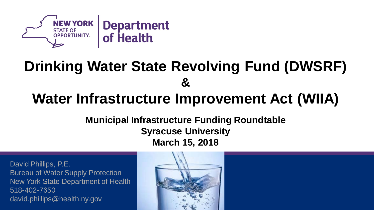

# **Drinking Water State Revolving Fund (DWSRF) &**

## **Water Infrastructure Improvement Act (WIIA)**

#### **Municipal Infrastructure Funding Roundtable Syracuse University March 15, 2018**

David Phillips, P.E. Bureau of Water Supply Protection New York State Department of Health 518-402-7650 david.phillips@health.ny.gov

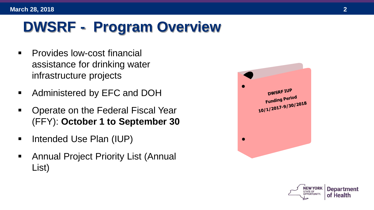## **DWSRF - Program Overview**

- **•** Provides low-cost financial assistance for drinking water infrastructure projects
- **Administered by EFC and DOH**
- Operate on the Federal Fiscal Year (FFY): **October 1 to September 30**
- Intended Use Plan (IUP)
- **Annual Project Priority List (Annual** List)



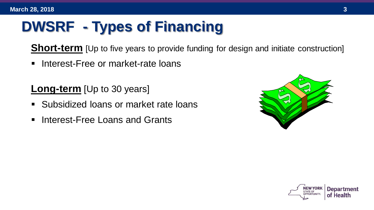# **DWSRF - Types of Financing**

**Short-term** [Up to five years to provide funding for design and initiate construction]

**Interest-Free or market-rate loans** 

**Long-term** [Up to 30 years]

- **Subsidized loans or market rate loans**
- **Interest-Free Loans and Grants**



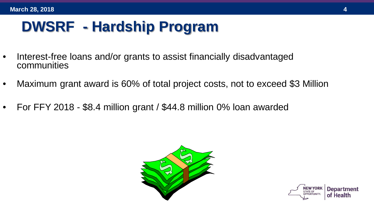## **DWSRF - Hardship Program**

- Interest-free loans and/or grants to assist financially disadvantaged communities
- Maximum grant award is 60% of total project costs, not to exceed \$3 Million
- For FFY 2018 \$8.4 million grant / \$44.8 million 0% loan awarded



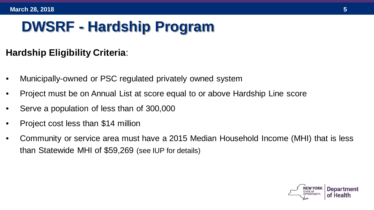## **DWSRF - Hardship Program**

#### **Hardship Eligibility Criteria**:

- Municipally-owned or PSC regulated privately owned system
- Project must be on Annual List at score equal to or above Hardship Line score
- Serve a population of less than of 300,000
- Project cost less than \$14 million
- Community or service area must have a 2015 Median Household Income (MHI) that is less than Statewide MHI of \$59,269 (see IUP for details)

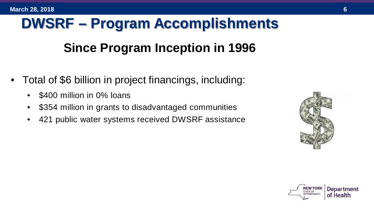## **DWSRF – Program Accomplishments**

### **Since Program Inception in 1996**

- Total of \$6 billion in project financings, including:
	- \$400 million in 0% loans
	- \$354 million in grants to disadvantaged communities
	- 421 public water systems received DWSRF assistance



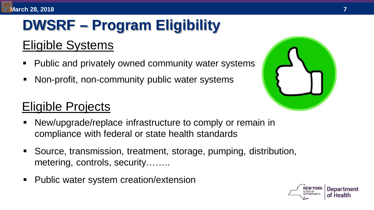## **DWSRF – Program Eligibility**

### Eligible Systems

- **Public and privately owned community water systems**
- Non-profit, non-community public water systems

#### Eligible Projects

- New/upgrade/replace infrastructure to comply or remain in compliance with federal or state health standards
- Source, transmission, treatment, storage, pumping, distribution, metering, controls, security……..
- Public water system creation/extension





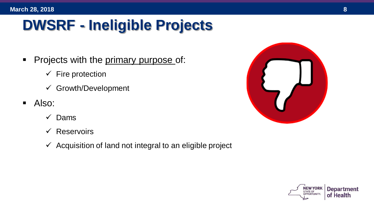## **DWSRF - Ineligible Projects**

- Projects with the primary purpose of:
	- $\checkmark$  Fire protection
	- $\checkmark$  Growth/Development
- Also:
	- $\checkmark$  Dams
	- $\checkmark$  Reservoirs
	- $\checkmark$  Acquisition of land not integral to an eligible project



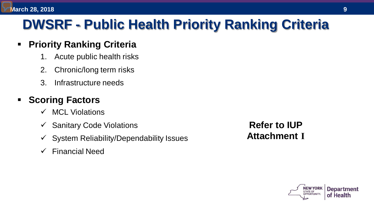### **DWSRF - Public Health Priority Ranking Criteria**

#### **Priority Ranking Criteria**

- 1. Acute public health risks
- 2. Chronic/long term risks
- 3. Infrastructure needs

#### **Scoring Factors**

- $\checkmark$  MCL Violations
- $\checkmark$  Sanitary Code Violations
- $\checkmark$  System Reliability/Dependability Issues
- $\checkmark$  Financial Need

**Refer to IUP Attachment I**

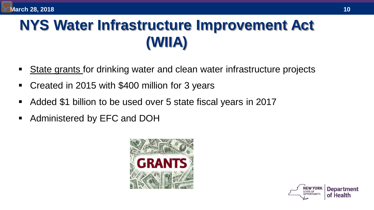## **NYS Water Infrastructure Improvement Act (WIIA)**

- State grants for drinking water and clean water infrastructure projects
- Created in 2015 with \$400 million for 3 years
- Added \$1 billion to be used over 5 state fiscal years in 2017
- Administered by EFC and DOH



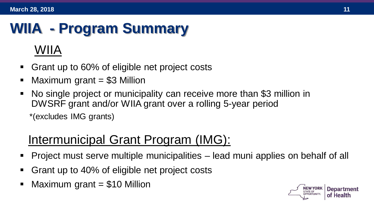# **WIIA - Program Summary**

#### WIIA

- Grant up to 60% of eligible net project costs
- Maximum grant = \$3 Million
- No single project or municipality can receive more than \$3 million in DWSRF grant and/or WIIA grant over a rolling 5-year period \*(excludes IMG grants)

### Intermunicipal Grant Program (IMG):

- Project must serve multiple municipalities lead muni applies on behalf of all
- Grant up to 40% of eligible net project costs
- Maximum grant  $= $10$  Million

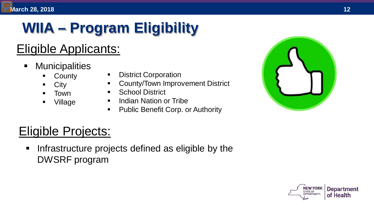# **WIIA – Program Eligibility**

#### Eligible Applicants:

- **Municipalities** 
	- **County**
	- **City**
	- Town
	- Village
- **-** District Corporation
- **County/Town Improvement District**
- **School District**
- **Indian Nation or Tribe**
- **Public Benefit Corp. or Authority**



### Eligible Projects:

**Infrastructure projects defined as eligible by the** DWSRF program

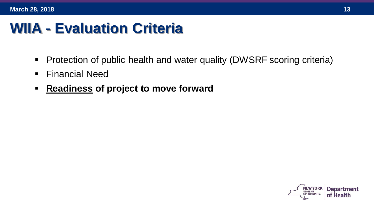## **WIIA - Evaluation Criteria**

- **Protection of public health and water quality (DWSRF scoring criteria)**
- **Financial Need**
- **Readiness of project to move forward**

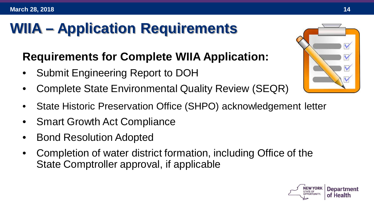## **WIIA – Application Requirements**

#### **Requirements for Complete WIIA Application:**

- Submit Engineering Report to DOH
- Complete State Environmental Quality Review (SEQR)
- State Historic Preservation Office (SHPO) acknowledgement letter
- Smart Growth Act Compliance
- Bond Resolution Adopted
- Completion of water district formation, including Office of the State Comptroller approval, if applicable



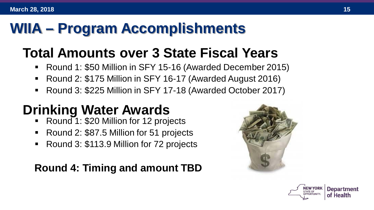## **WIIA – Program Accomplishments**

## **Total Amounts over 3 State Fiscal Years**

- Round 1: \$50 Million in SFY 15-16 (Awarded December 2015)
- Round 2: \$175 Million in SFY 16-17 (Awarded August 2016)
- Round 3: \$225 Million in SFY 17-18 (Awarded October 2017)

## **Drinking Water Awards**

- Round 1: \$20 Million for 12 projects
- Round 2: \$87.5 Million for 51 projects
- Round 3: \$113.9 Million for 72 projects

#### **Round 4: Timing and amount TBD**



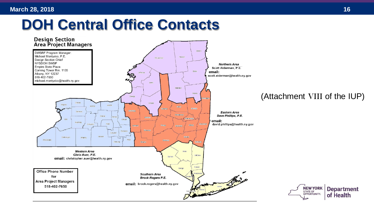## **DOH Central Office Contacts**



#### (Attachment VIII of the IUP)